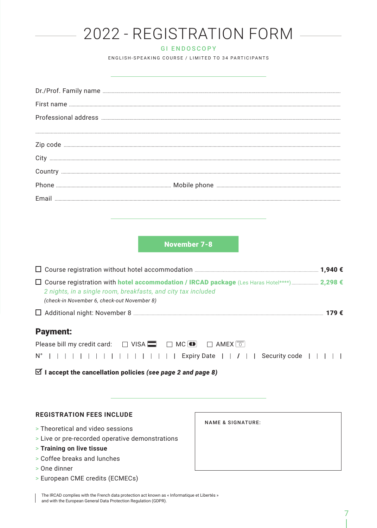| 2022 - REGISTRATION FORM                                                            |
|-------------------------------------------------------------------------------------|
| <b>GI ENDOSCOPY</b>                                                                 |
| ENGLISH-SPEAKING COURSE / LIMITED TO 34 PARTICIPANTS                                |
|                                                                                     |
|                                                                                     |
|                                                                                     |
|                                                                                     |
|                                                                                     |
|                                                                                     |
|                                                                                     |
|                                                                                     |
|                                                                                     |
|                                                                                     |
|                                                                                     |
|                                                                                     |
| <b>November 7-8</b>                                                                 |
|                                                                                     |
|                                                                                     |
| 2 nights, in a single room, breakfasts, and city tax included                       |
| (check-in November 6, check-out November 8)                                         |
|                                                                                     |
| <b>Payment:</b>                                                                     |
| Please bill my credit card: □ VISA ■ □ MC ■ □ AMEX □                                |
| $N^{\circ}$                                     Expiry Date     /     Security code |
| $\boxtimes$ I accept the cancellation policies (see page 2 and page 8)              |
|                                                                                     |
|                                                                                     |

### **REGISTRATION FEES INCLUDE**

- > Theoretical and video sessions
- > Live or pre-recorded operative demonstrations
- > Training on live tissue
- > Coffee breaks and lunches
- > One dinner
- > European CME credits (ECMECs)

The IRCAD complies with the French data protection act known as « Informatique et Libertés » and with the European General Data Protection Regulation (GDPR).

**NAME & SIGNATURE:**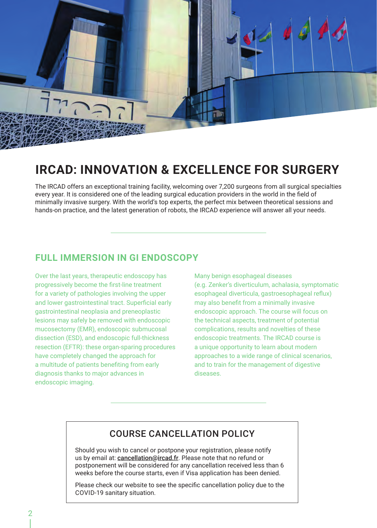

# **IRCAD: INNOVATION & EXCELLENCE FOR SURGERY**

The IRCAD offers an exceptional training facility, welcoming over 7,200 surgeons from all surgical specialties every year. It is considered one of the leading surgical education providers in the world in the field of minimally invasive surgery. With the world's top experts, the perfect mix between theoretical sessions and hands-on practice, and the latest generation of robots, the IRCAD experience will answer all your needs.

### **FULL IMMERSION IN GI ENDOSCOPY**

Over the last years, therapeutic endoscopy has progressively become the first-line treatment for a variety of pathologies involving the upper and lower gastrointestinal tract. Superficial early gastrointestinal neoplasia and preneoplastic lesions may safely be removed with endoscopic mucosectomy (EMR), endoscopic submucosal dissection (ESD), and endoscopic full-thickness resection (EFTR): these organ-sparing procedures have completely changed the approach for a multitude of patients benefiting from early diagnosis thanks to major advances in endoscopic imaging.

Many benign esophageal diseases (e.g. Zenker's diverticulum, achalasia, symptomatic esophageal diverticula, gastroesophageal reflux) may also benefit from a minimally invasive endoscopic approach. The course will focus on the technical aspects, treatment of potential complications, results and novelties of these endoscopic treatments. The IRCAD course is a unique opportunity to learn about modern approaches to a wide range of clinical scenarios, and to train for the management of digestive diseases.

### COURSE CANCELLATION POLICY

Should you wish to cancel or postpone your registration, please notify us by email at: cancellation@ircad.fr. Please note that no refund or postponement will be considered for any cancellation received less than 6 weeks before the course starts, even if Visa application has been denied.

Please check our website to see the specific cancellation policy due to the COVID-19 sanitary situation.